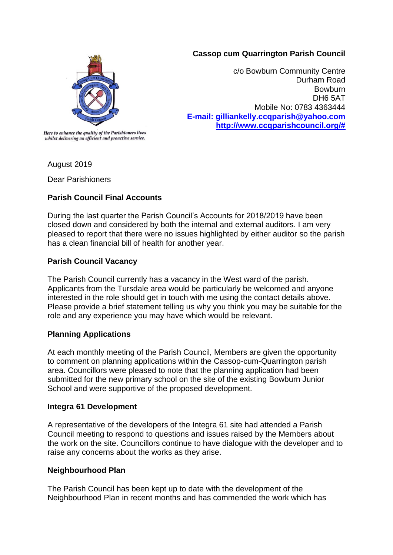### **Cassop cum Quarrington Parish Council**



c/o Bowburn Community Centre Durham Road **Bowburn** DH6 5AT Mobile No: 0783 4363444 **E-mail: gilliankelly.ccqparish@yahoo.com [http://www.ccqparishcouncil.org/#](http://www.ccqparishcouncil.org/)**

Here to enhance the quality of the Parishioners lives whilst delivering an efficient and proactive service.

August 2019

Dear Parishioners

# **Parish Council Final Accounts**

During the last quarter the Parish Council's Accounts for 2018/2019 have been closed down and considered by both the internal and external auditors. I am very pleased to report that there were no issues highlighted by either auditor so the parish has a clean financial bill of health for another year.

# **Parish Council Vacancy**

The Parish Council currently has a vacancy in the West ward of the parish. Applicants from the Tursdale area would be particularly be welcomed and anyone interested in the role should get in touch with me using the contact details above. Please provide a brief statement telling us why you think you may be suitable for the role and any experience you may have which would be relevant.

## **Planning Applications**

At each monthly meeting of the Parish Council, Members are given the opportunity to comment on planning applications within the Cassop-cum-Quarrington parish area. Councillors were pleased to note that the planning application had been submitted for the new primary school on the site of the existing Bowburn Junior School and were supportive of the proposed development.

## **Integra 61 Development**

A representative of the developers of the Integra 61 site had attended a Parish Council meeting to respond to questions and issues raised by the Members about the work on the site. Councillors continue to have dialogue with the developer and to raise any concerns about the works as they arise.

## **Neighbourhood Plan**

The Parish Council has been kept up to date with the development of the Neighbourhood Plan in recent months and has commended the work which has